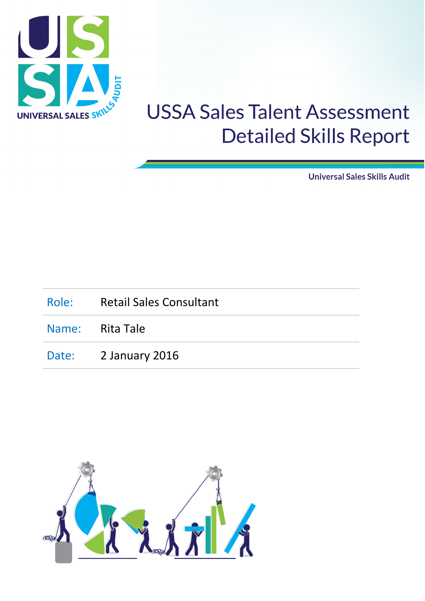

**Universal Sales Skills Audit** 

| Role: Retail Sales Consultant |  |  |
|-------------------------------|--|--|
| Name: Rita Tale               |  |  |
| Date: 2 January 2016          |  |  |

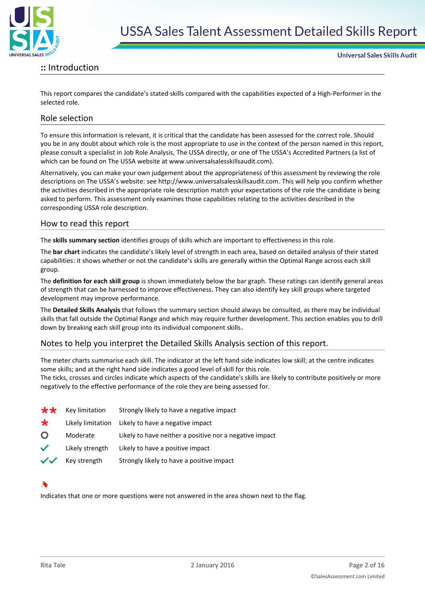

#### **::** Introduction

This report compares the candidate's stated skills compared with the capabilities expected of a High-Performer in the selected role.

#### Role selection

To ensure this information is relevant, it is critical that the candidate has been assessed for the correct role. Should you be in any doubt about which role is the most appropriate to use in the context of the person named in this report, please consult a specialist in Job Role Analysis, The USSA directly, or one of The USSA's Accredited Partners (a list of which can be found on The USSA website at www.universalsalesskillsaudit.com).

Alternatively, you can make your own judgement about the appropriateness of this assessment by reviewing the role descriptions on The USSA's website: see http://www.universalsalesskillsaudit.com. This will help you confirm whether the activities described in the appropriate role description match your expectations of the role the candidate is being asked to perform. This assessment only examines those capabilities relating to the activities described in the corresponding USSA role description.

#### How to read this report

The **skills summary section** identifies groups of skills which are important to effectiveness in this role.

The **bar chart** indicates the candidate's likely level of strength in each area, based on detailed analysis of their stated capabilities: it shows whether or not the candidate's skills are generally within the Optimal Range across each skill group.

The **definition for each skill group** is shown immediately below the bar graph. These ratings can identify general areas of strength that can be harnessed to improve effectiveness. They can also identify key skill groups where targeted development may improve performance.

The **Detailed Skills Analysis** that follows the summary section should always be consulted, as there may be individual skills that fall outside the Optimal Range and which may require further development. This section enables you to drill down by breaking each skill group into its individual component skills.

#### Notes to help you interpret the Detailed Skills Analysis section of this report.

The meter charts summarise each skill. The indicator at the left hand side indicates low skill; at the centre indicates some skills; and at the right hand side indicates a good level of skill for this role.

The ticks, crosses and circles indicate which aspects of the candidate's skills are likely to contribute positively or more negatively to the effective performance of the role they are being assessed for.

| **      | Key limitation    | Strongly likely to have a negative impact               |
|---------|-------------------|---------------------------------------------------------|
| $\star$ | Likely limitation | Likely to have a negative impact                        |
| O       | Moderate          | Likely to have neither a positive nor a negative impact |
| ✓       | Likely strength   | Likely to have a positive impact                        |
| ンン      | Key strength      | Strongly likely to have a positive impact               |

Indicates that one or more questions were not answered in the area shown next to the flag.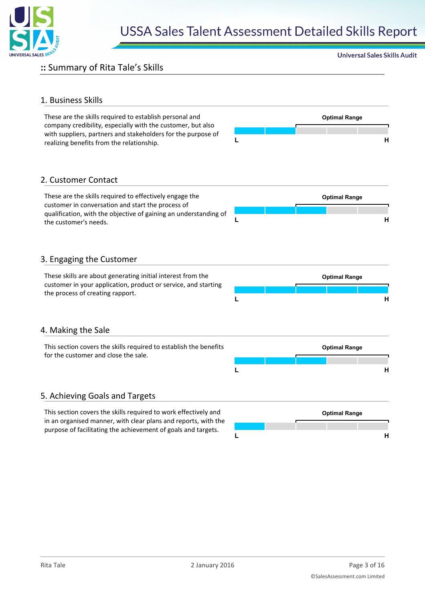

#### **::** Summary of Rita Tale's Skills

#### 1. Business Skills

These are the skills required to establish personal and **Optimal Range** company credibility, especially with the customer, but also with suppliers, partners and stakeholders for the purpose of realizing benefits from the relationship. **<sup>L</sup> <sup>H</sup>**



**Universal Sales Skills Audit** 

#### 2. Customer Contact

These are the skills required to effectively engage the **Optimal Range** customer in conversation and start the process of qualification, with the objective of gaining an understanding of the customer's needs. **<sup>L</sup> <sup>H</sup>**

#### 3. Engaging the Customer

the process of creating rapport.



#### 4. Making the Sale

| This section covers the skills required to establish the benefits |  |  | <b>Optimal Range</b> |  |  |
|-------------------------------------------------------------------|--|--|----------------------|--|--|
| for the customer and close the sale.                              |  |  |                      |  |  |
|                                                                   |  |  |                      |  |  |

#### 5. Achieving Goals and Targets

This section covers the skills required to work effectively and **Optimal Range** in an organised manner, with clear plans and reports, with the purpose of facilitating the achievement of goals and targets.

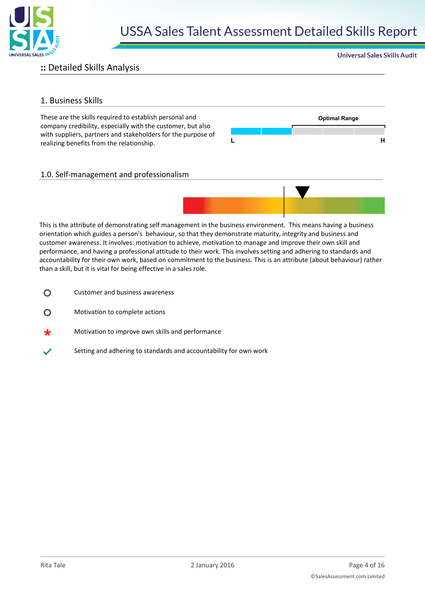

### **::** Detailed Skills Analysis

#### 1. Business Skills

These are the skills required to establish personal and **Optimal Range** company credibility, especially with the customer, but also with suppliers, partners and stakeholders for the purpose of realizing benefits from the relationship. **<sup>L</sup> <sup>H</sup>**



**Universal Sales Skills Audit** 

#### 1.0. Self-management and professionalism



This is the attribute of demonstrating self management in the business environment. This means having a business orientation which guides a person's behaviour, so that they demonstrate maturity, integrity and business and customer awareness. It involves: motivation to achieve, motivation to manage and improve their own skill and performance, and having a professional attitude to their work. This involves setting and adhering to standards and accountability for their own work, based on commitment to the business. This is an attribute (about behaviour) rather than a skill, but it is vital for being effective in a sales role.

- Customer and business awareness O
- Motivation to complete actions  $\Omega$
- Motivation to improve own skills and performance
- Setting and adhering to standards and accountability for own work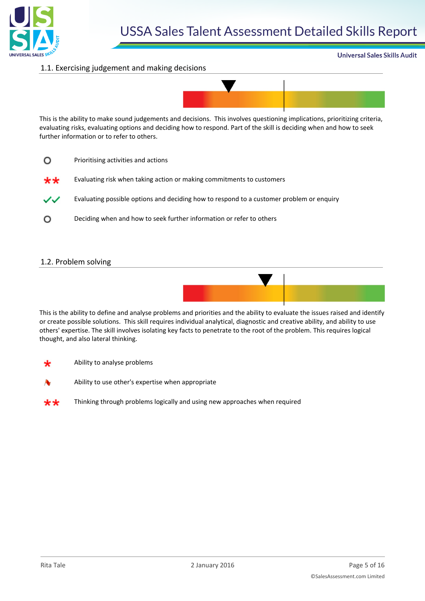

#### **Universal Sales Skills Audit**

#### 1.1. Exercising judgement and making decisions



This is the ability to make sound judgements and decisions. This involves questioning implications, prioritizing criteria, evaluating risks, evaluating options and deciding how to respond. Part of the skill is deciding when and how to seek further information or to refer to others.

- $\Omega$ Prioritising activities and actions
- Evaluating risk when taking action or making commitments to customers \*\*

Evaluating possible options and deciding how to respond to a customer problem or enquiry ノン

Deciding when and how to seek further information or refer to others  $\circ$ 

#### 1.2. Problem solving



This is the ability to define and analyse problems and priorities and the ability to evaluate the issues raised and identify or create possible solutions. This skill requires individual analytical, diagnostic and creative ability, and ability to use others' expertise. The skill involves isolating key facts to penetrate to the root of the problem. This requires logical thought, and also lateral thinking.

- Ability to analyse problems
- 

Ability to use other's expertise when appropriate

Thinking through problems logically and using new approaches when required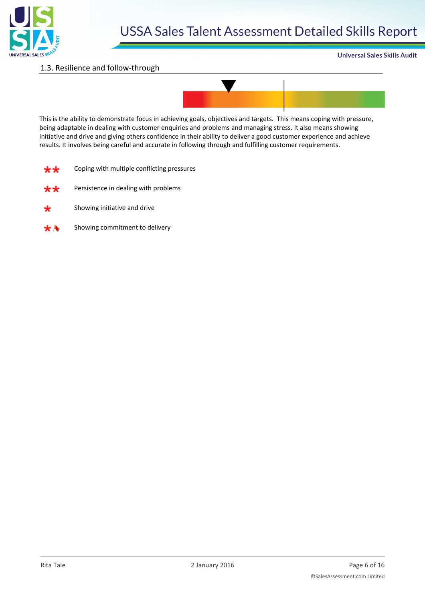

#### **Universal Sales Skills Audit**

#### 1.3. Resilience and follow-through



This is the ability to demonstrate focus in achieving goals, objectives and targets. This means coping with pressure, being adaptable in dealing with customer enquiries and problems and managing stress. It also means showing initiative and drive and giving others confidence in their ability to deliver a good customer experience and achieve results. It involves being careful and accurate in following through and fulfilling customer requirements.

| Coping with multiple conflicting pressures<br>** |  |
|--------------------------------------------------|--|
|--------------------------------------------------|--|

- Persistence in dealing with problems باريار
- Showing initiative and drive
- Showing commitment to delivery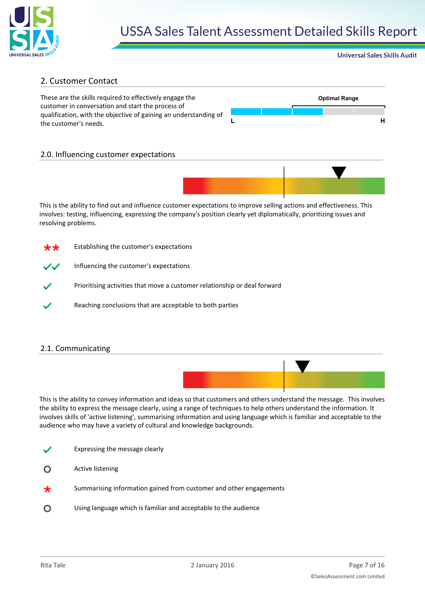

#### **Universal Sales Skills Audit**

#### 2. Customer Contact

These are the skills required to effectively engage the **Optimal Range** customer in conversation and start the process of qualification, with the objective of gaining an understanding of the customer's needs. **<sup>L</sup> <sup>H</sup>**



#### 2.0. Influencing customer expectations



This is the ability to find out and influence customer expectations to improve selling actions and effectiveness. This involves: testing, influencing, expressing the company's position clearly yet diplomatically, prioritizing issues and resolving problems.



- Influencing the customer's expectations
- Prioritising activities that move a customer relationship or deal forward
- Reaching conclusions that are acceptable to both parties

#### 2.1. Communicating



This is the ability to convey information and ideas so that customers and others understand the message. This involves the ability to express the message clearly, using a range of techniques to help others understand the information. It involves skills of 'active listening', summarising information and using language which is familiar and acceptable to the audience who may have a variety of cultural and knowledge backgrounds.

- Expressing the message clearly
- Active listening ∩
- Summarising information gained from customer and other engagements
- $\Omega$ Using language which is familiar and acceptable to the audience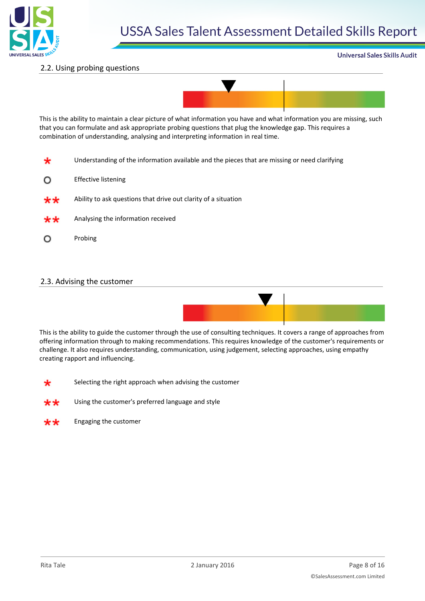

#### **Universal Sales Skills Audit**

#### 2.2. Using probing questions



This is the ability to maintain a clear picture of what information you have and what information you are missing, such that you can formulate and ask appropriate probing questions that plug the knowledge gap. This requires a combination of understanding, analysing and interpreting information in real time.

- Understanding of the information available and the pieces that are missing or need clarifying
- Effective listening O
- Ability to ask questions that drive out clarity of a situation  $***$
- Analysing the information received ₩₩
- $\circ$ Probing

#### 2.3. Advising the customer



This is the ability to guide the customer through the use of consulting techniques. It covers a range of approaches from offering information through to making recommendations. This requires knowledge of the customer's requirements or challenge. It also requires understanding, communication, using judgement, selecting approaches, using empathy creating rapport and influencing.

- Selecting the right approach when advising the customer
- Using the customer's preferred language and style

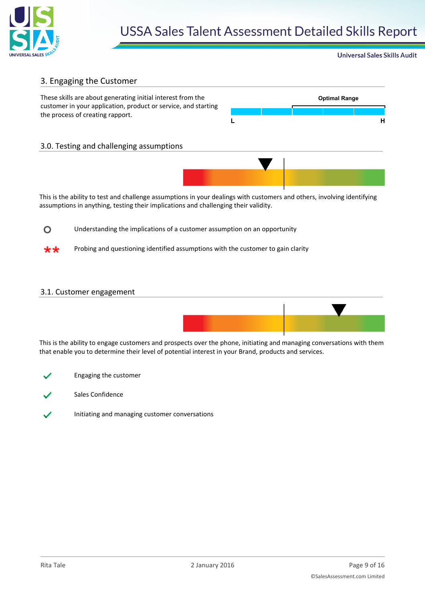

**Universal Sales Skills Audit** 

#### 3. Engaging the Customer



This is the ability to test and challenge assumptions in your dealings with customers and others, involving identifying assumptions in anything, testing their implications and challenging their validity.

 $\circ$ Understanding the implications of a customer assumption on an opportunity

Probing and questioning identified assumptions with the customer to gain clarity

#### 3.1. Customer engagement



This is the ability to engage customers and prospects over the phone, initiating and managing conversations with them that enable you to determine their level of potential interest in your Brand, products and services.

- Engaging the customer
- Sales Confidence
- Initiating and managing customer conversations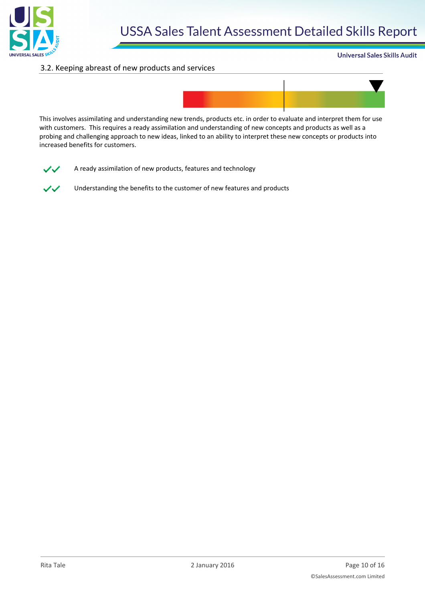

#### **Universal Sales Skills Audit**

#### 3.2. Keeping abreast of new products and services



This involves assimilating and understanding new trends, products etc. in order to evaluate and interpret them for use with customers. This requires a ready assimilation and understanding of new concepts and products as well as a probing and challenging approach to new ideas, linked to an ability to interpret these new concepts or products into increased benefits for customers.



A ready assimilation of new products, features and technology

Understanding the benefits to the customer of new features and products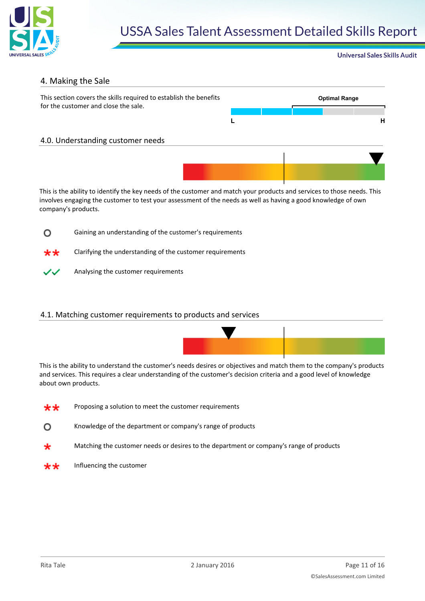

#### **Universal Sales Skills Audit**

#### 4. Making the Sale



This is the ability to identify the key needs of the customer and match your products and services to those needs. This involves engaging the customer to test your assessment of the needs as well as having a good knowledge of own company's products.



Clarifying the understanding of the customer requirements \*\*



Analysing the customer requirements

#### 4.1. Matching customer requirements to products and services



This is the ability to understand the customer's needs desires or objectives and match them to the company's products and services. This requires a clear understanding of the customer's decision criteria and a good level of knowledge about own products.

- Proposing a solution to meet the customer requirements \*\*
- $\Omega$ Knowledge of the department or company's range of products
- Matching the customer needs or desires to the department or company's range of products
- Influencing the customer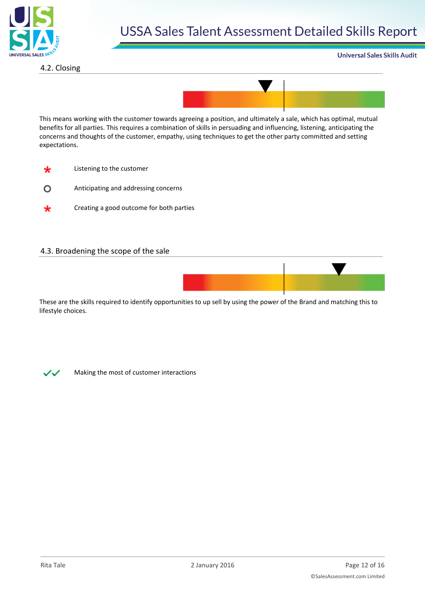

4.2. Closing

**Universal Sales Skills Audit** 



This means working with the customer towards agreeing a position, and ultimately a sale, which has optimal, mutual benefits for all parties. This requires a combination of skills in persuading and influencing, listening, anticipating the concerns and thoughts of the customer, empathy, using techniques to get the other party committed and setting expectations.

- ₩ Listening to the customer
- Anticipating and addressing concerns  $\circ$
- Creating a good outcome for both parties ∗

#### 4.3. Broadening the scope of the sale



These are the skills required to identify opportunities to up sell by using the power of the Brand and matching this to lifestyle choices.



Making the most of customer interactions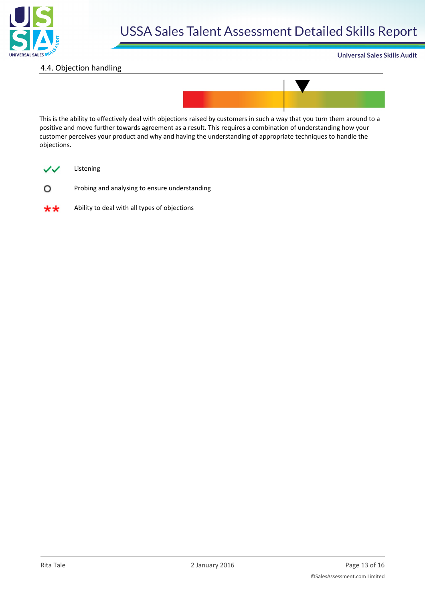

#### 4.4. Objection handling

#### **Universal Sales Skills Audit**



This is the ability to effectively deal with objections raised by customers in such a way that you turn them around to a positive and move further towards agreement as a result. This requires a combination of understanding how your customer perceives your product and why and having the understanding of appropriate techniques to handle the objections.



Listening

Probing and analysing to ensure understanding  $\circ$ 



Ability to deal with all types of objections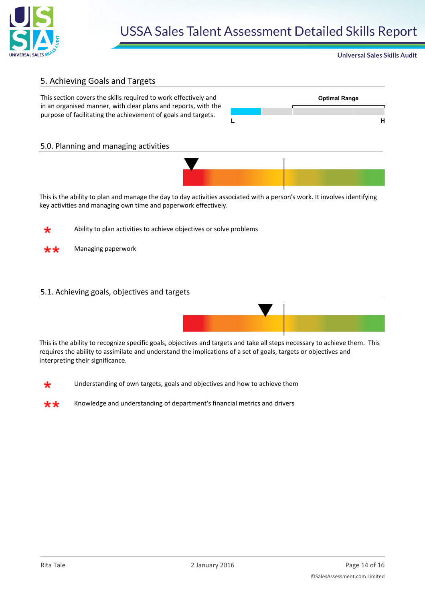

#### **Universal Sales Skills Audit**

#### 5. Achieving Goals and Targets

This section covers the skills required to work effectively and **Optimal Range** in an organised manner, with clear plans and reports, with the purpose of facilitating the achievement of goals and targets.



#### 5.0. Planning and managing activities



This is the ability to plan and manage the day to day activities associated with a person's work. It involves identifying key activities and managing own time and paperwork effectively.

Ability to plan activities to achieve objectives or solve problems

Managing paperwork

#### 5.1. Achieving goals, objectives and targets



This is the ability to recognize specific goals, objectives and targets and take all steps necessary to achieve them. This requires the ability to assimilate and understand the implications of a set of goals, targets or objectives and interpreting their significance.



Understanding of own targets, goals and objectives and how to achieve them

Knowledge and understanding of department's financial metrics and drivers∗∗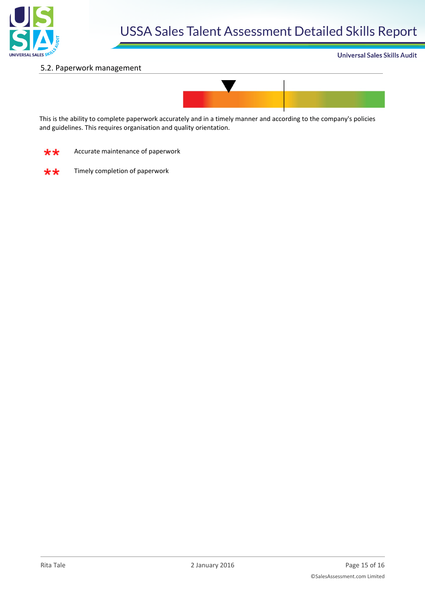

#### 5.2. Paperwork management





This is the ability to complete paperwork accurately and in a timely manner and according to the company's policies and guidelines. This requires organisation and quality orientation.

Accurate maintenance of paperwork \*\*



Timely completion of paperwork